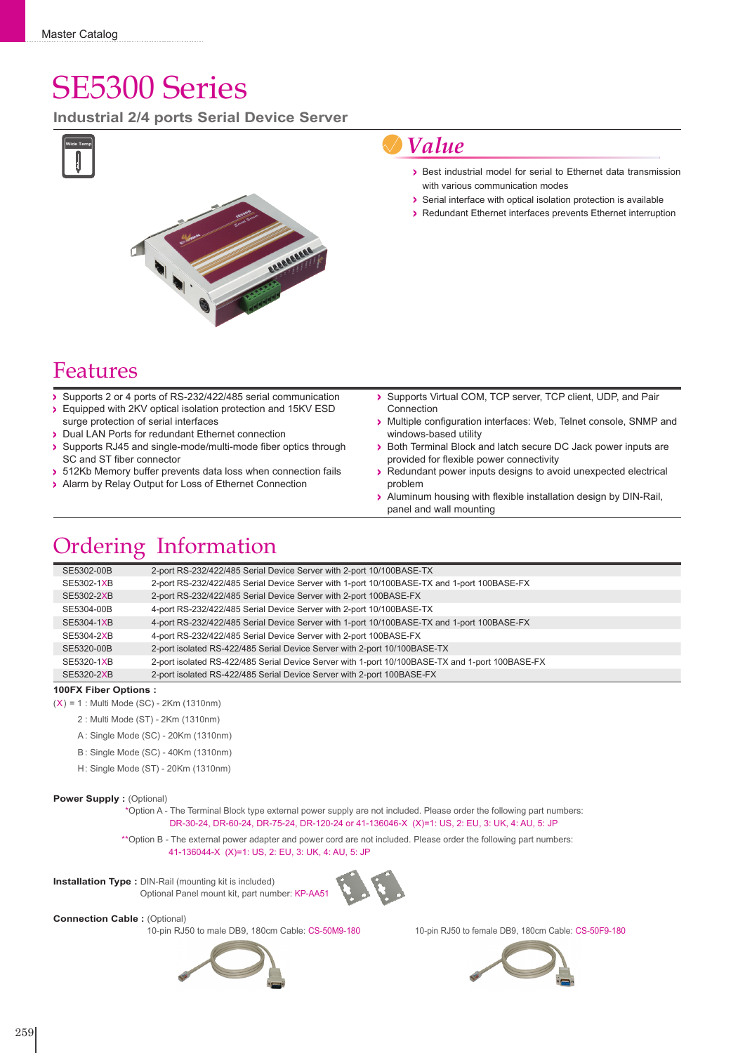# SE5300 Series

**Industrial 2/4 ports Serial Device Server**



## *Value*

- Best industrial model for serial to Ethernet data transmission with various communication modes
- Serial interface with optical isolation protection is available
- Redundant Ethernet interfaces prevents Ethernet interruption

### Features

- Supports 2 or 4 ports of RS-232/422/485 serial communication
- Equipped with 2KV optical isolation protection and 15KV ESD surge protection of serial interfaces
- > Dual LAN Ports for redundant Ethernet connection
- Supports RJ45 and single-mode/multi-mode fiber optics through SC and ST fiber connector
- > 512Kb Memory buffer prevents data loss when connection fails
- > Alarm by Relay Output for Loss of Ethernet Connection
- Supports Virtual COM, TCP server, TCP client, UDP, and Pair  $\overline{\phantom{a}}$ Connection
- Multiple configuration interfaces: Web, Telnet console, SNMP and windows-based utility
- Both Terminal Block and latch secure DC Jack power inputs are provided for flexible power connectivity
- Redundant power inputs designs to avoid unexpected electrical problem
- Aluminum housing with flexible installation design by DIN-Rail, panel and wall mounting

# Ordering Information

| 2-port RS-232/422/485 Serial Device Server with 1-port 10/100BASE-TX and 1-port 100BASE-FX<br>SE5302-1XB<br>2-port RS-232/422/485 Serial Device Server with 2-port 100BASE-FX<br>SE5302-2XB<br>4-port RS-232/422/485 Serial Device Server with 2-port 10/100BASE-TX<br>SE5304-00B<br>4-port RS-232/422/485 Serial Device Server with 1-port 10/100BASE-TX and 1-port 100BASE-FX<br>SE5304-1XB<br>4-port RS-232/422/485 Serial Device Server with 2-port 100BASE-FX<br>SE5304-2XB<br>2-port isolated RS-422/485 Serial Device Server with 2-port 10/100BASE-TX<br>SE5320-00B<br>2-port isolated RS-422/485 Serial Device Server with 1-port 10/100BASE-TX and 1-port 100BASE-FX<br>SE5320-1XB | SE5302-00B | 2-port RS-232/422/485 Serial Device Server with 2-port 10/100BASE-TX   |
|----------------------------------------------------------------------------------------------------------------------------------------------------------------------------------------------------------------------------------------------------------------------------------------------------------------------------------------------------------------------------------------------------------------------------------------------------------------------------------------------------------------------------------------------------------------------------------------------------------------------------------------------------------------------------------------------|------------|------------------------------------------------------------------------|
|                                                                                                                                                                                                                                                                                                                                                                                                                                                                                                                                                                                                                                                                                              |            |                                                                        |
|                                                                                                                                                                                                                                                                                                                                                                                                                                                                                                                                                                                                                                                                                              |            |                                                                        |
|                                                                                                                                                                                                                                                                                                                                                                                                                                                                                                                                                                                                                                                                                              |            |                                                                        |
|                                                                                                                                                                                                                                                                                                                                                                                                                                                                                                                                                                                                                                                                                              |            |                                                                        |
|                                                                                                                                                                                                                                                                                                                                                                                                                                                                                                                                                                                                                                                                                              |            |                                                                        |
|                                                                                                                                                                                                                                                                                                                                                                                                                                                                                                                                                                                                                                                                                              |            |                                                                        |
|                                                                                                                                                                                                                                                                                                                                                                                                                                                                                                                                                                                                                                                                                              |            |                                                                        |
|                                                                                                                                                                                                                                                                                                                                                                                                                                                                                                                                                                                                                                                                                              | SE5320-2XB | 2-port isolated RS-422/485 Serial Device Server with 2-port 100BASE-FX |

#### **100FX Fiber Options :**

- $(X) = 1$ : Multi Mode (SC) 2Km (1310nm)
	- 2 : Multi Mode (ST) 2Km (1310nm)
	- A : Single Mode (SC) 20Km (1310nm)
	- B : Single Mode (SC) 40Km (1310nm)
	- H: Single Mode (ST) 20Km (1310nm)

#### **Power Supply : (Optional)**

\*Option A - The Terminal Block type external power supply are not included. Please order the following part numbers: DR-30-24, DR-60-24, DR-75-24, DR-120-24 or 41-136046-X (X)=1: US, 2: EU, 3: UK, 4: AU, 5: JP

\*\*Option B - The external power adapter and power cord are not included. Please order the following part numbers: 41-136044-X (X)=1: US, 2: EU, 3: UK, 4: AU, 5: JP





**Connection Cable : (Optional)** 

10-pin RJ50 to male DB9, 180cm Cable: CS-50M9-180 10-pin RJ50 to female DB9, 180cm Cable: CS-50F9-180